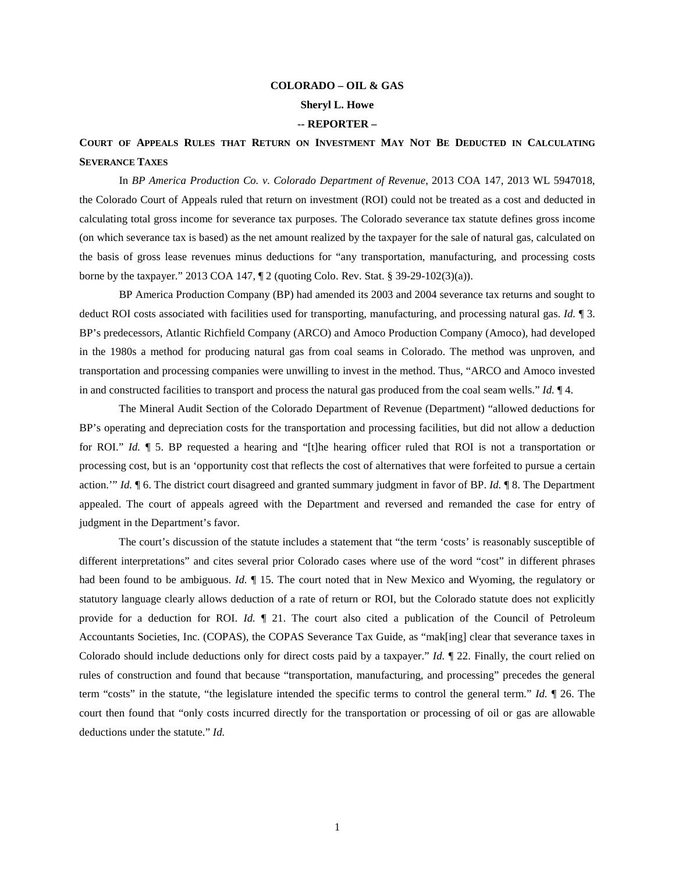# **COLORADO – OIL & GAS Sheryl L. Howe -- REPORTER –**

## **COURT OF APPEALS RULES THAT RETURN ON INVESTMENT MAY NOT BE DEDUCTED IN CALCULATING SEVERANCE TAXES**

In *BP America Production Co. v. Colorado Department of Revenue*, 2013 COA 147, 2013 WL 5947018, the Colorado Court of Appeals ruled that return on investment (ROI) could not be treated as a cost and deducted in calculating total gross income for severance tax purposes. The Colorado severance tax statute defines gross income (on which severance tax is based) as the net amount realized by the taxpayer for the sale of natural gas, calculated on the basis of gross lease revenues minus deductions for "any transportation, manufacturing, and processing costs borne by the taxpayer." 2013 COA 147,  $\P$  2 (quoting Colo. Rev. Stat. § 39-29-102(3)(a)).

BP America Production Company (BP) had amended its 2003 and 2004 severance tax returns and sought to deduct ROI costs associated with facilities used for transporting, manufacturing, and processing natural gas. *Id.* ¶ 3. BP's predecessors, Atlantic Richfield Company (ARCO) and Amoco Production Company (Amoco), had developed in the 1980s a method for producing natural gas from coal seams in Colorado. The method was unproven, and transportation and processing companies were unwilling to invest in the method. Thus, "ARCO and Amoco invested in and constructed facilities to transport and process the natural gas produced from the coal seam wells." *Id.* ¶ 4.

The Mineral Audit Section of the Colorado Department of Revenue (Department) "allowed deductions for BP's operating and depreciation costs for the transportation and processing facilities, but did not allow a deduction for ROI." *Id.* ¶ 5. BP requested a hearing and "[t]he hearing officer ruled that ROI is not a transportation or processing cost, but is an 'opportunity cost that reflects the cost of alternatives that were forfeited to pursue a certain action.'" *Id.* ¶ 6. The district court disagreed and granted summary judgment in favor of BP. *Id.* ¶ 8. The Department appealed. The court of appeals agreed with the Department and reversed and remanded the case for entry of judgment in the Department's favor.

The court's discussion of the statute includes a statement that "the term 'costs' is reasonably susceptible of different interpretations" and cites several prior Colorado cases where use of the word "cost" in different phrases had been found to be ambiguous. *Id.*  $\parallel$  15. The court noted that in New Mexico and Wyoming, the regulatory or statutory language clearly allows deduction of a rate of return or ROI, but the Colorado statute does not explicitly provide for a deduction for ROI. *Id.* ¶ 21. The court also cited a publication of the Council of Petroleum Accountants Societies, Inc. (COPAS), the COPAS Severance Tax Guide, as "mak[ing] clear that severance taxes in Colorado should include deductions only for direct costs paid by a taxpayer." *Id.* ¶ 22. Finally, the court relied on rules of construction and found that because "transportation, manufacturing, and processing" precedes the general term "costs" in the statute, "the legislature intended the specific terms to control the general term." *Id.* ¶ 26. The court then found that "only costs incurred directly for the transportation or processing of oil or gas are allowable deductions under the statute." *Id.*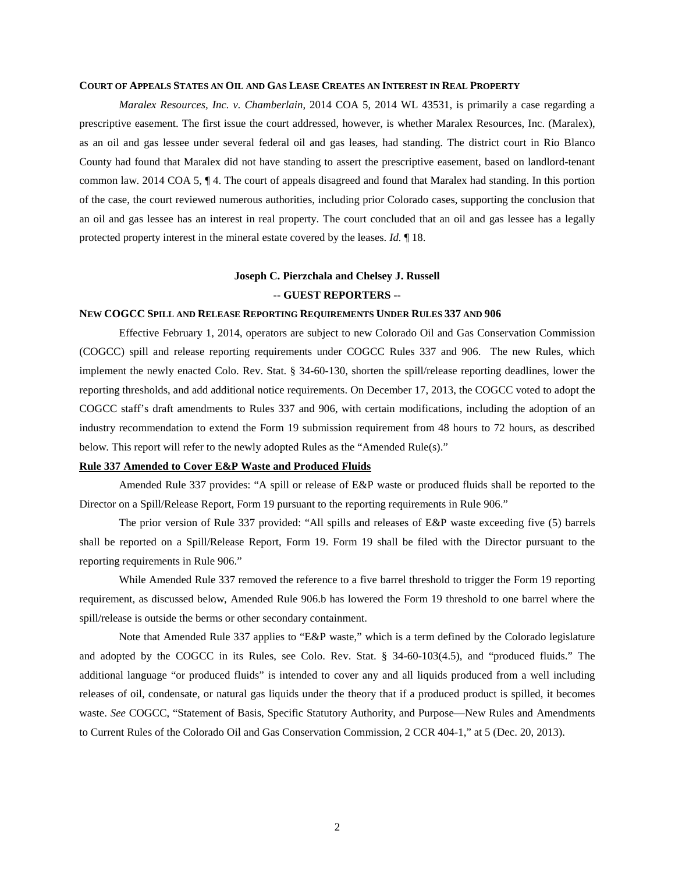#### **COURT OF APPEALS STATES AN OIL AND GAS LEASE CREATES AN INTEREST IN REAL PROPERTY**

*Maralex Resources, Inc. v. Chamberlain*, 2014 COA 5, 2014 WL 43531, is primarily a case regarding a prescriptive easement. The first issue the court addressed, however, is whether Maralex Resources, Inc. (Maralex), as an oil and gas lessee under several federal oil and gas leases, had standing. The district court in Rio Blanco County had found that Maralex did not have standing to assert the prescriptive easement, based on landlord-tenant common law. 2014 COA 5, ¶ 4. The court of appeals disagreed and found that Maralex had standing. In this portion of the case, the court reviewed numerous authorities, including prior Colorado cases, supporting the conclusion that an oil and gas lessee has an interest in real property. The court concluded that an oil and gas lessee has a legally protected property interest in the mineral estate covered by the leases. *Id.* ¶ 18.

## **Joseph C. Pierzchala and Chelsey J. Russell -- GUEST REPORTERS --**

#### **NEW COGCC SPILL AND RELEASE REPORTING REQUIREMENTS UNDER RULES 337 AND 906**

Effective February 1, 2014, operators are subject to new Colorado Oil and Gas Conservation Commission (COGCC) spill and release reporting requirements under COGCC Rules 337 and 906. The new Rules, which implement the newly enacted Colo. Rev. Stat. § 34-60-130, shorten the spill/release reporting deadlines, lower the reporting thresholds, and add additional notice requirements. On December 17, 2013, the COGCC voted to adopt the COGCC staff's draft amendments to Rules 337 and 906, with certain modifications, including the adoption of an industry recommendation to extend the Form 19 submission requirement from 48 hours to 72 hours, as described below. This report will refer to the newly adopted Rules as the "Amended Rule(s)."

### **Rule 337 Amended to Cover E&P Waste and Produced Fluids**

Amended Rule 337 provides: "A spill or release of E&P waste or produced fluids shall be reported to the Director on a Spill/Release Report, Form 19 pursuant to the reporting requirements in Rule 906."

The prior version of Rule 337 provided: "All spills and releases of E&P waste exceeding five (5) barrels shall be reported on a Spill/Release Report, Form 19. Form 19 shall be filed with the Director pursuant to the reporting requirements in Rule 906."

While Amended Rule 337 removed the reference to a five barrel threshold to trigger the Form 19 reporting requirement, as discussed below, Amended Rule 906.b has lowered the Form 19 threshold to one barrel where the spill/release is outside the berms or other secondary containment.

Note that Amended Rule 337 applies to "E&P waste," which is a term defined by the Colorado legislature and adopted by the COGCC in its Rules, see Colo. Rev. Stat. § 34-60-103(4.5), and "produced fluids." The additional language "or produced fluids" is intended to cover any and all liquids produced from a well including releases of oil, condensate, or natural gas liquids under the theory that if a produced product is spilled, it becomes waste. See COGCC, "Statement of Basis, Specific Statutory Authority, and Purpose—New Rules and Amendments to Current Rules of the Colorado Oil and Gas Conservation Commission, 2 CCR 404-1," at 5 (Dec. 20, 2013).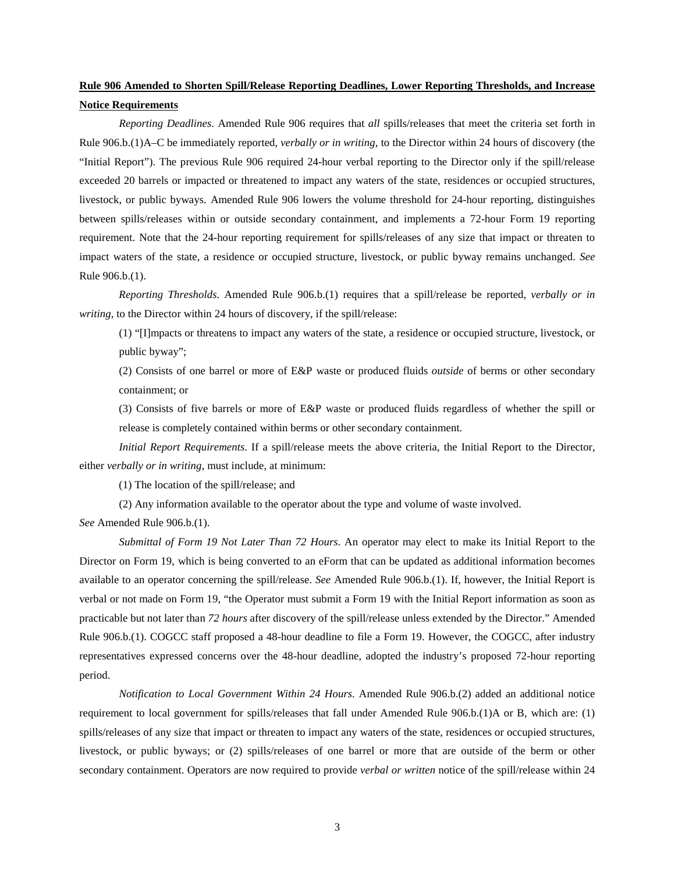# **Rule 906 Amended to Shorten Spill/Release Reporting Deadlines, Lower Reporting Thresholds, and Increase Notice Requirements**

*Reporting Deadlines*. Amended Rule 906 requires that *all* spills/releases that meet the criteria set forth in Rule 906.b.(1)A–C be immediately reported, *verbally or in writing*, to the Director within 24 hours of discovery (the "Initial Report"). The previous Rule 906 required 24-hour verbal reporting to the Director only if the spill/release exceeded 20 barrels or impacted or threatened to impact any waters of the state, residences or occupied structures, livestock, or public byways. Amended Rule 906 lowers the volume threshold for 24-hour reporting, distinguishes between spills/releases within or outside secondary containment, and implements a 72-hour Form 19 reporting requirement. Note that the 24-hour reporting requirement for spills/releases of any size that impact or threaten to impact waters of the state, a residence or occupied structure, livestock, or public byway remains unchanged. *See* Rule 906.b.(1).

*Reporting Thresholds*. Amended Rule 906.b.(1) requires that a spill/release be reported, *verbally or in writing*, to the Director within 24 hours of discovery, if the spill/release:

(1) "[I]mpacts or threatens to impact any waters of the state, a residence or occupied structure, livestock, or public byway";

(2) Consists of one barrel or more of E&P waste or produced fluids *outside* of berms or other secondary containment; or

(3) Consists of five barrels or more of E&P waste or produced fluids regardless of whether the spill or release is completely contained within berms or other secondary containment.

*Initial Report Requirements*. If a spill/release meets the above criteria, the Initial Report to the Director, either *verbally or in writing*, must include, at minimum:

(1) The location of the spill/release; and

(2) Any information available to the operator about the type and volume of waste involved.

*See* Amended Rule 906.b.(1).

*Submittal of Form 19 Not Later Than 72 Hours*. An operator may elect to make its Initial Report to the Director on Form 19, which is being converted to an eForm that can be updated as additional information becomes available to an operator concerning the spill/release. *See* Amended Rule 906.b.(1). If, however, the Initial Report is verbal or not made on Form 19, "the Operator must submit a Form 19 with the Initial Report information as soon as practicable but not later than *72 hours* after discovery of the spill/release unless extended by the Director." Amended Rule 906.b.(1). COGCC staff proposed a 48-hour deadline to file a Form 19. However, the COGCC, after industry representatives expressed concerns over the 48-hour deadline, adopted the industry's proposed 72-hour reporting period.

*Notification to Local Government Within 24 Hours*. Amended Rule 906.b.(2) added an additional notice requirement to local government for spills/releases that fall under Amended Rule 906.b.(1)A or B, which are: (1) spills/releases of any size that impact or threaten to impact any waters of the state, residences or occupied structures, livestock, or public byways; or (2) spills/releases of one barrel or more that are outside of the berm or other secondary containment. Operators are now required to provide *verbal or written* notice of the spill/release within 24